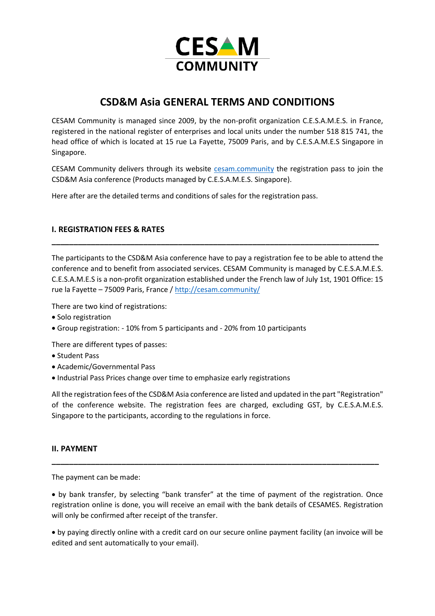

# **CSD&M Asia GENERAL TERMS AND CONDITIONS**

CESAM Community is managed since 2009, by the non-profit organization C.E.S.A.M.E.S. in France, registered in the national register of enterprises and local units under the number 518 815 741, the head office of which is located at 15 rue La Fayette, 75009 Paris, and by C.E.S.A.M.E.S Singapore in Singapore.

CESAM Community delivers through its website [cesam.community](https://cesam.community/) the registration pass to join the CSD&M Asia conference (Products managed by C.E.S.A.M.E.S. Singapore).

Here after are the detailed terms and conditions of sales for the registration pass.

## **I. REGISTRATION FEES & RATES**

The participants to the CSD&M Asia conference have to pay a registration fee to be able to attend the conference and to benefit from associated services. CESAM Community is managed by C.E.S.A.M.E.S. C.E.S.A.M.E.S is a non-profit organization established under the French law of July 1st, 1901 Office: 15 rue la Fayette – 75009 Paris, France /<http://cesam.community/>

**\_\_\_\_\_\_\_\_\_\_\_\_\_\_\_\_\_\_\_\_\_\_\_\_\_\_\_\_\_\_\_\_\_\_\_\_\_\_\_\_\_\_\_\_\_\_\_\_\_\_\_\_\_\_\_\_\_\_\_\_\_\_\_\_\_\_\_\_\_\_\_\_\_\_\_**

There are two kind of registrations:

- Solo registration
- Group registration: 10% from 5 participants and 20% from 10 participants

There are different types of passes:

- Student Pass
- Academic/Governmental Pass
- Industrial Pass Prices change over time to emphasize early registrations

All the registration fees of the CSD&M Asia conference are listed and updated in the part "Registration" of the conference website. The registration fees are charged, excluding GST, by C.E.S.A.M.E.S. Singapore to the participants, according to the regulations in force.

#### **II. PAYMENT**

The payment can be made:

• by bank transfer, by selecting "bank transfer" at the time of payment of the registration. Once registration online is done, you will receive an email with the bank details of CESAMES. Registration will only be confirmed after receipt of the transfer.

**\_\_\_\_\_\_\_\_\_\_\_\_\_\_\_\_\_\_\_\_\_\_\_\_\_\_\_\_\_\_\_\_\_\_\_\_\_\_\_\_\_\_\_\_\_\_\_\_\_\_\_\_\_\_\_\_\_\_\_\_\_\_\_\_\_\_\_\_\_\_\_\_\_\_\_**

• by paying directly online with a credit card on our secure online payment facility (an invoice will be edited and sent automatically to your email).